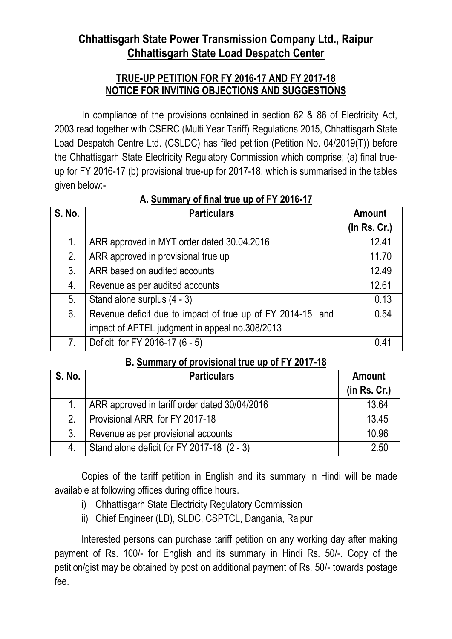## **Chhattisgarh State Power Transmission Company Ltd., Raipur Chhattisgarh State Load Despatch Center**

## **TRUE-UP PETITION FOR FY 2016-17 AND FY 2017-18 NOTICE FOR INVITING OBJECTIONS AND SUGGESTIONS**

 In compliance of the provisions contained in section 62 & 86 of Electricity Act, 2003 read together with CSERC (Multi Year Tariff) Regulations 2015, Chhattisgarh State Load Despatch Centre Ltd. (CSLDC) has filed petition (Petition No. 04/2019(T)) before the Chhattisgarh State Electricity Regulatory Commission which comprise; (a) final trueup for FY 2016-17 (b) provisional true-up for 2017-18, which is summarised in the tables given below:-

| <b>S. No.</b>  | <b>Particulars</b>                                         | <b>Amount</b> |
|----------------|------------------------------------------------------------|---------------|
|                |                                                            | (in Rs. Cr.)  |
| 1.             | ARR approved in MYT order dated 30.04.2016                 | 12.41         |
| 2.             | ARR approved in provisional true up                        | 11.70         |
| 3 <sub>1</sub> | ARR based on audited accounts                              | 12.49         |
| 4.             | Revenue as per audited accounts                            | 12.61         |
| 5.             | Stand alone surplus (4 - 3)                                | 0.13          |
| 6.             | Revenue deficit due to impact of true up of FY 2014-15 and | 0.54          |
|                | impact of APTEL judgment in appeal no.308/2013             |               |
| 7.             | Deficit for FY 2016-17 (6 - 5)                             | 04            |

## **A. Summary of final true up of FY 2016-17**

## **B. Summary of provisional true up of FY 2017-18**

| <b>S. No.</b> | <b>Particulars</b>                            | <b>Amount</b> |
|---------------|-----------------------------------------------|---------------|
|               |                                               | (in Rs. Cr.)  |
|               | ARR approved in tariff order dated 30/04/2016 | 13.64         |
| $2_{-}$       | Provisional ARR for FY 2017-18                | 13.45         |
| 3.            | Revenue as per provisional accounts           | 10.96         |
|               | Stand alone deficit for FY 2017-18 (2 - 3)    | 2.50          |

 Copies of the tariff petition in English and its summary in Hindi will be made available at following offices during office hours.

- i) Chhattisgarh State Electricity Regulatory Commission
- ii) Chief Engineer (LD), SLDC, CSPTCL, Dangania, Raipur

 Interested persons can purchase tariff petition on any working day after making payment of Rs. 100/- for English and its summary in Hindi Rs. 50/-. Copy of the petition/gist may be obtained by post on additional payment of Rs. 50/- towards postage fee.